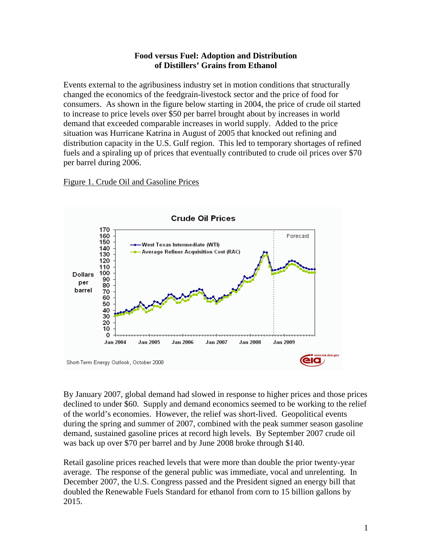### **Food versus Fuel: Adoption and Distribution of Distillers' Grains from Ethanol**

Events external to the agribusiness industry set in motion conditions that structurally changed the economics of the feedgrain-livestock sector and the price of food for consumers. As shown in the figure below starting in 2004, the price of crude oil started to increase to price levels over \$50 per barrel brought about by increases in world demand that exceeded comparable increases in world supply. Added to the price situation was Hurricane Katrina in August of 2005 that knocked out refining and distribution capacity in the U.S. Gulf region. This led to temporary shortages of refined fuels and a spiraling up of prices that eventually contributed to crude oil prices over \$70 per barrel during 2006.

Figure 1. Crude Oil and Gasoline Prices



By January 2007, global demand had slowed in response to higher prices and those prices declined to under \$60. Supply and demand economics seemed to be working to the relief of the world's economies. However, the relief was short-lived. Geopolitical events during the spring and summer of 2007, combined with the peak summer season gasoline demand, sustained gasoline prices at record high levels. By September 2007 crude oil was back up over \$70 per barrel and by June 2008 broke through \$140.

Retail gasoline prices reached levels that were more than double the prior twenty-year average. The response of the general public was immediate, vocal and unrelenting. In December 2007, the U.S. Congress passed and the President signed an energy bill that doubled the Renewable Fuels Standard for ethanol from corn to 15 billion gallons by 2015.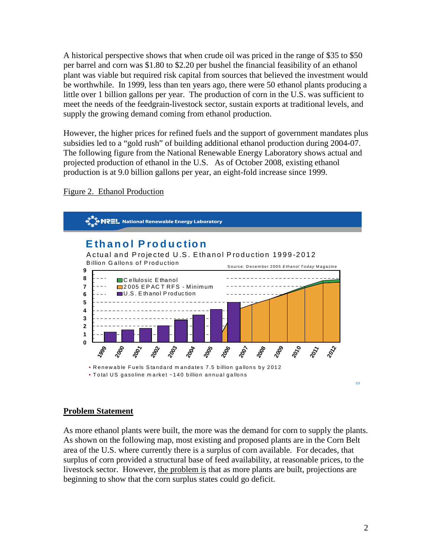A historical perspective shows that when crude oil was priced in the range of \$35 to \$50 per barrel and corn was \$1.80 to \$2.20 per bushel the financial feasibility of an ethanol plant was viable but required risk capital from sources that believed the investment would be worthwhile. In 1999, less than ten years ago, there were 50 ethanol plants producing a little over 1 billion gallons per year. The production of corn in the U.S. was sufficient to meet the needs of the feedgrain-livestock sector, sustain exports at traditional levels, and supply the growing demand coming from ethanol production.

However, the higher prices for refined fuels and the support of government mandates plus subsidies led to a "gold rush" of building additional ethanol production during 2004-07. The following figure from the National Renewable Energy Laboratory shows actual and projected production of ethanol in the U.S. As of October 2008, existing ethanol production is at 9.0 billion gallons per year, an eight-fold increase since 1999.



Figure 2. Ethanol Production

### **Problem Statement**

As more ethanol plants were built, the more was the demand for corn to supply the plants. As shown on the following map, most existing and proposed plants are in the Corn Belt area of the U.S. where currently there is a surplus of corn available. For decades, that surplus of corn provided a structural base of feed availability, at reasonable prices, to the livestock sector. However, the problem is that as more plants are built, projections are beginning to show that the corn surplus states could go deficit.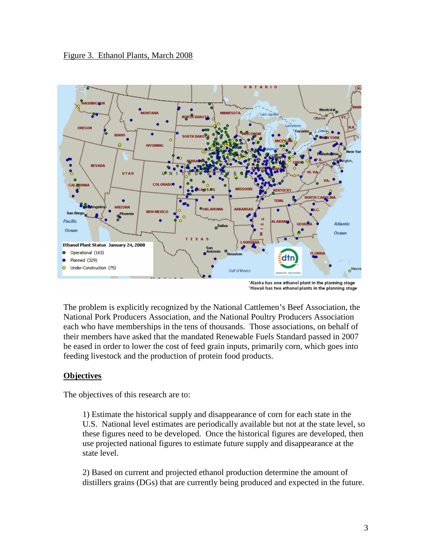

\*Alaska has one ethanol plant in the planning stage \*Hawaii has two ethanol plants in the planning stage

The problem is explicitly recognized by the National Cattlemen's Beef Association, the National Pork Producers Association, and the National Poultry Producers Association each who have memberships in the tens of thousands. Those associations, on behalf of their members have asked that the mandated Renewable Fuels Standard passed in 2007 be eased in order to lower the cost of feed grain inputs, primarily corn, which goes into feeding livestock and the production of protein food products.

## **Objectives**

The objectives of this research are to:

1) Estimate the historical supply and disappearance of corn for each state in the U.S. National level estimates are periodically available but not at the state level, so these figures need to be developed. Once the historical figures are developed, then use projected national figures to estimate future supply and disappearance at the state level.

2) Based on current and projected ethanol production determine the amount of distillers grains (DGs) that are currently being produced and expected in the future.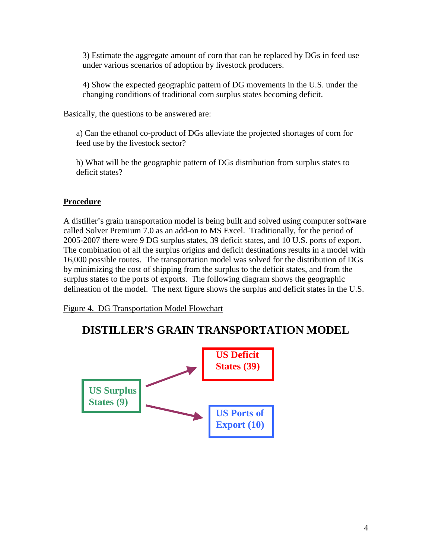3) Estimate the aggregate amount of corn that can be replaced by DGs in feed use under various scenarios of adoption by livestock producers.

4) Show the expected geographic pattern of DG movements in the U.S. under the changing conditions of traditional corn surplus states becoming deficit.

Basically, the questions to be answered are:

a) Can the ethanol co-product of DGs alleviate the projected shortages of corn for feed use by the livestock sector?

b) What will be the geographic pattern of DGs distribution from surplus states to deficit states?

## **Procedure**

A distiller's grain transportation model is being built and solved using computer software called Solver Premium 7.0 as an add-on to MS Excel. Traditionally, for the period of 2005-2007 there were 9 DG surplus states, 39 deficit states, and 10 U.S. ports of export. The combination of all the surplus origins and deficit destinations results in a model with 16,000 possible routes. The transportation model was solved for the distribution of DGs by minimizing the cost of shipping from the surplus to the deficit states, and from the surplus states to the ports of exports. The following diagram shows the geographic delineation of the model. The next figure shows the surplus and deficit states in the U.S.

Figure 4. DG Transportation Model Flowchart

# **DISTILLER'S GRAIN TRANSPORTATION MODEL**

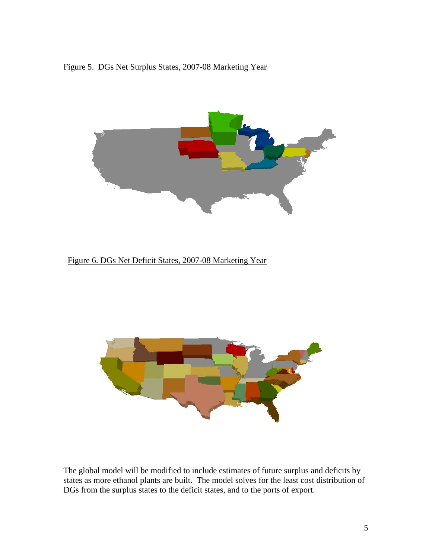# Figure 5. DGs Net Surplus States, 2007-08 Marketing Year



Figure 6. DGs Net Deficit States, 2007-08 Marketing Year



The global model will be modified to include estimates of future surplus and deficits by states as more ethanol plants are built. The model solves for the least cost distribution of DGs from the surplus states to the deficit states, and to the ports of export.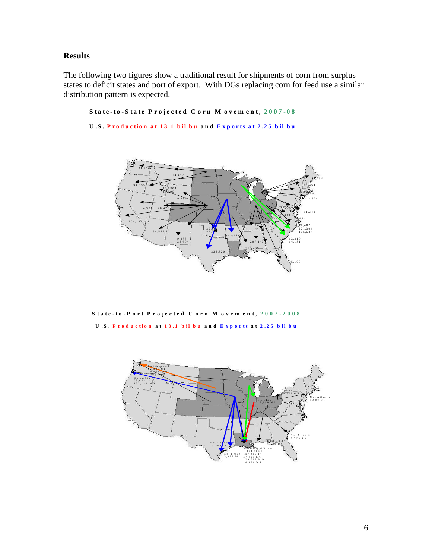# **Results**

The following two figures show a traditional result for shipments of corn from surplus states to deficit states and port of export. With DGs replacing corn for feed use a similar distribution pattern is expected.

```
State-to-State Projected Corn Movement, 2007-08
```

```
U.S. Production at 13.1 bil bu and Exports at 2.25 bil bu
```


S tate-to-P ort Projected C orn M ovem ent, 2007-2008 **U**.S. Production at 13.1 bil bu and Exports at 2.25 bil bu